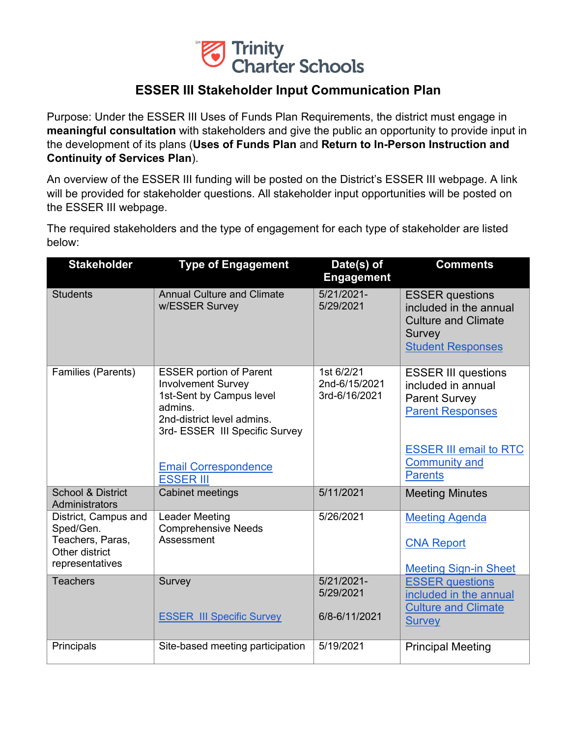

## **ESSER III Stakeholder Input Communication Plan**

Purpose: Under the ESSER III Uses of Funds Plan Requirements, the district must engage in **meaningful consultation** with stakeholders and give the public an opportunity to provide input in the development of its plans (**Uses of Funds Plan** and **Return to In-Person Instruction and Continuity of Services Plan**).

An overview of the ESSER III funding will be posted on the District's ESSER III webpage. A link will be provided for stakeholder questions. All stakeholder input opportunities will be posted on the ESSER III webpage.

The required stakeholders and the type of engagement for each type of stakeholder are listed below:

| <b>Stakeholder</b>                                                                         | <b>Type of Engagement</b>                                                                                                                                          | Date(s) of<br><b>Engagement</b>              | <b>Comments</b>                                                                                                      |
|--------------------------------------------------------------------------------------------|--------------------------------------------------------------------------------------------------------------------------------------------------------------------|----------------------------------------------|----------------------------------------------------------------------------------------------------------------------|
| <b>Students</b>                                                                            | <b>Annual Culture and Climate</b><br>w/ESSER Survey                                                                                                                | $5/21/2021 -$<br>5/29/2021                   | <b>ESSER</b> questions<br>included in the annual<br><b>Culture and Climate</b><br>Survey<br><b>Student Responses</b> |
| Families (Parents)                                                                         | <b>ESSER portion of Parent</b><br><b>Involvement Survey</b><br>1st-Sent by Campus level<br>admins.<br>2nd-district level admins.<br>3rd- ESSER III Specific Survey | 1st 6/2/21<br>2nd-6/15/2021<br>3rd-6/16/2021 | <b>ESSER III questions</b><br>included in annual<br><b>Parent Survey</b><br><b>Parent Responses</b>                  |
|                                                                                            | <b>Email Correspondence</b><br><b>ESSER III</b>                                                                                                                    |                                              | <b>ESSER III email to RTC</b><br><b>Community and</b><br><b>Parents</b>                                              |
| <b>School &amp; District</b><br><b>Administrators</b>                                      | <b>Cabinet meetings</b>                                                                                                                                            | 5/11/2021                                    | <b>Meeting Minutes</b>                                                                                               |
| District, Campus and<br>Sped/Gen.<br>Teachers, Paras,<br>Other district<br>representatives | <b>Leader Meeting</b><br><b>Comprehensive Needs</b><br>Assessment                                                                                                  | 5/26/2021                                    | <b>Meeting Agenda</b><br><b>CNA Report</b><br><b>Meeting Sign-in Sheet</b>                                           |
| <b>Teachers</b>                                                                            | Survey<br><b>ESSER III Specific Survey</b>                                                                                                                         | $5/21/2021 -$<br>5/29/2021<br>6/8-6/11/2021  | <b>ESSER</b> questions<br>included in the annual<br><b>Culture and Climate</b><br><b>Survey</b>                      |
| Principals                                                                                 | Site-based meeting participation                                                                                                                                   | 5/19/2021                                    | <b>Principal Meeting</b>                                                                                             |